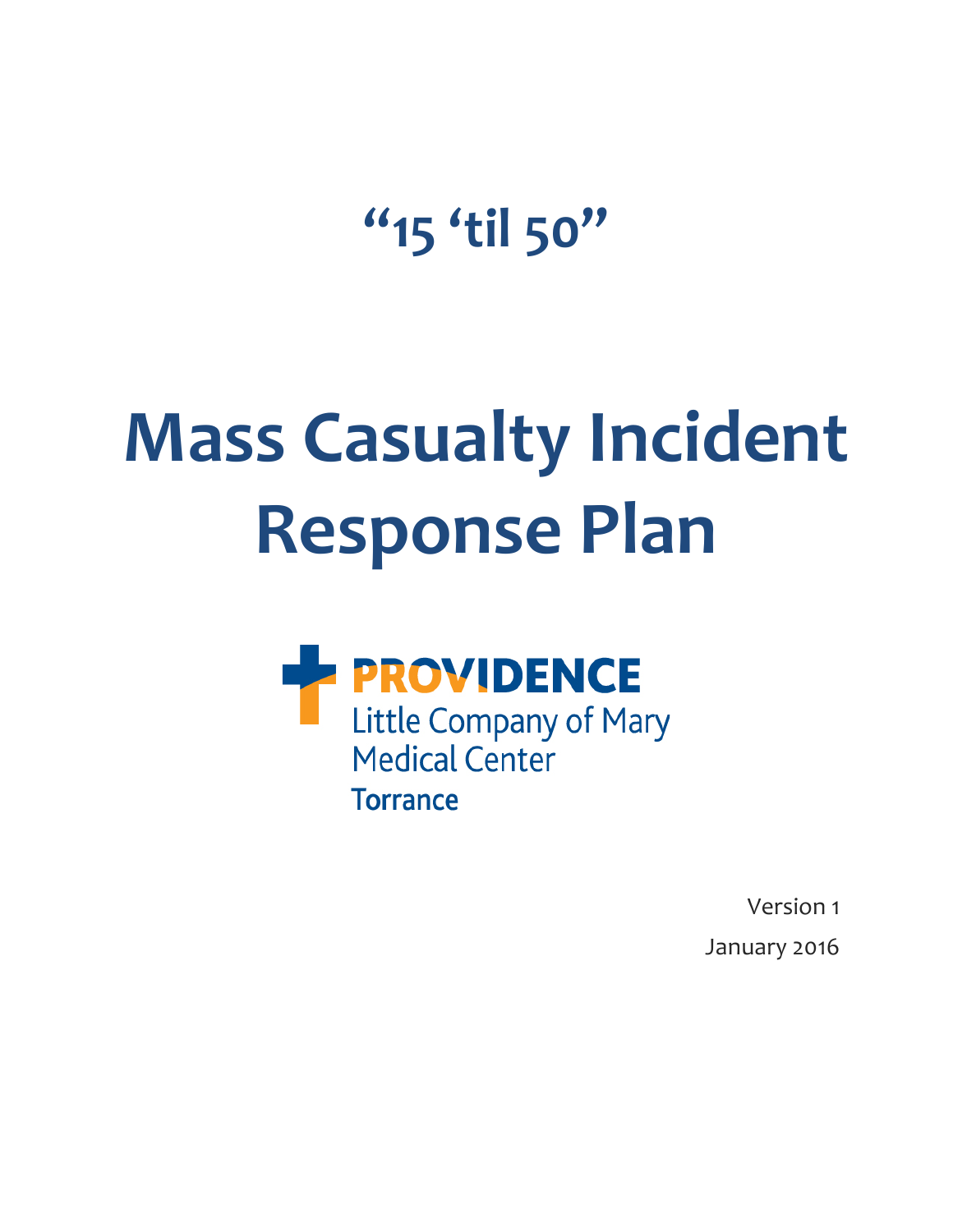**"15 'til 50"**

# **Mass Casualty Incident Response Plan**



Version 1 January 2016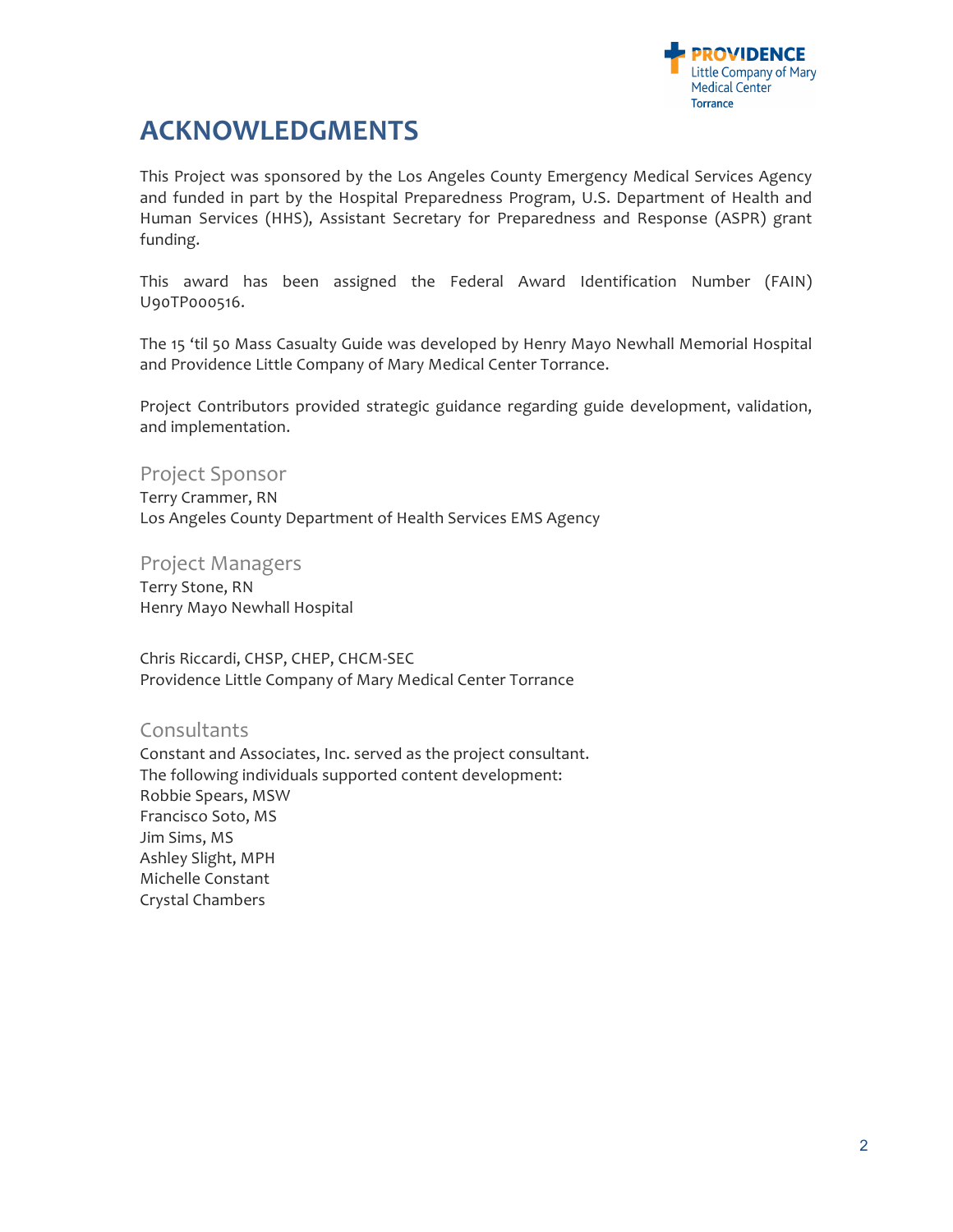

# **ACKNOWLEDGMENTS**

This Project was sponsored by the Los Angeles County Emergency Medical Services Agency and funded in part by the Hospital Preparedness Program, U.S. Department of Health and Human Services (HHS), Assistant Secretary for Preparedness and Response (ASPR) grant funding. 

This award has been assigned the Federal Award Identification Number (FAIN) U90TP000516. 

The 15 'til 50 Mass Casualty Guide was developed by Henry Mayo Newhall Memorial Hospital and Providence Little Company of Mary Medical Center Torrance.

Project Contributors provided strategic guidance regarding guide development, validation, and implementation.

Project Sponsor

Terry Crammer, RN Los Angeles County Department of Health Services EMS Agency

Project Managers Terry Stone, RN Henry Mayo Newhall Hospital

Chris Riccardi, CHSP, CHEP, CHCM-SEC Providence Little Company of Mary Medical Center Torrance

# **Consultants**

Constant and Associates, Inc. served as the project consultant. The following individuals supported content development: Robbie Spears, MSW Francisco Soto, MS Jim Sims, MS Ashley Slight, MPH Michelle Constant Crystal Chambers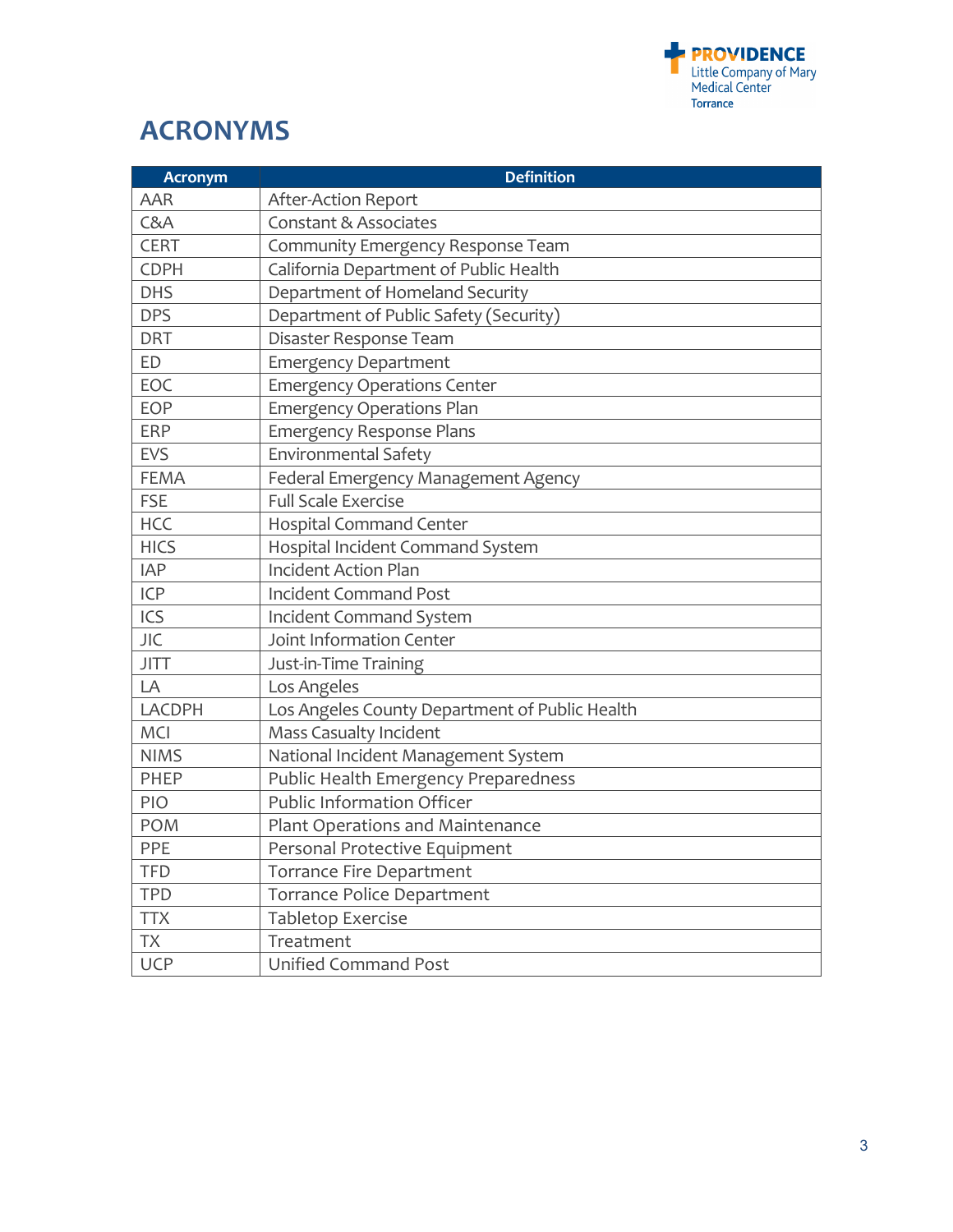

# **ACRONYMS**

| <b>Acronym</b> | <b>Definition</b>                              |
|----------------|------------------------------------------------|
| <b>AAR</b>     | After-Action Report                            |
| C&A            | <b>Constant &amp; Associates</b>               |
| <b>CERT</b>    | Community Emergency Response Team              |
| <b>CDPH</b>    | California Department of Public Health         |
| <b>DHS</b>     | Department of Homeland Security                |
| <b>DPS</b>     | Department of Public Safety (Security)         |
| <b>DRT</b>     | Disaster Response Team                         |
| ED             | <b>Emergency Department</b>                    |
| EOC            | <b>Emergency Operations Center</b>             |
| EOP            | <b>Emergency Operations Plan</b>               |
| <b>ERP</b>     | <b>Emergency Response Plans</b>                |
| <b>EVS</b>     | <b>Environmental Safety</b>                    |
| <b>FEMA</b>    | Federal Emergency Management Agency            |
| <b>FSE</b>     | <b>Full Scale Exercise</b>                     |
| <b>HCC</b>     | <b>Hospital Command Center</b>                 |
| <b>HICS</b>    | Hospital Incident Command System               |
| <b>IAP</b>     | <b>Incident Action Plan</b>                    |
| <b>ICP</b>     | <b>Incident Command Post</b>                   |
| ICS            | <b>Incident Command System</b>                 |
| <b>JIC</b>     | Joint Information Center                       |
| <b>JITT</b>    | Just-in-Time Training                          |
| LA             | Los Angeles                                    |
| LACDPH         | Los Angeles County Department of Public Health |
| MCI            | <b>Mass Casualty Incident</b>                  |
| <b>NIMS</b>    | National Incident Management System            |
| PHEP           | Public Health Emergency Preparedness           |
| PIO            | <b>Public Information Officer</b>              |
| <b>POM</b>     | Plant Operations and Maintenance               |
| PPE            | Personal Protective Equipment                  |
| <b>TFD</b>     | <b>Torrance Fire Department</b>                |
| <b>TPD</b>     | Torrance Police Department                     |
| <b>TTX</b>     | <b>Tabletop Exercise</b>                       |
| <b>TX</b>      | Treatment                                      |
| <b>UCP</b>     | <b>Unified Command Post</b>                    |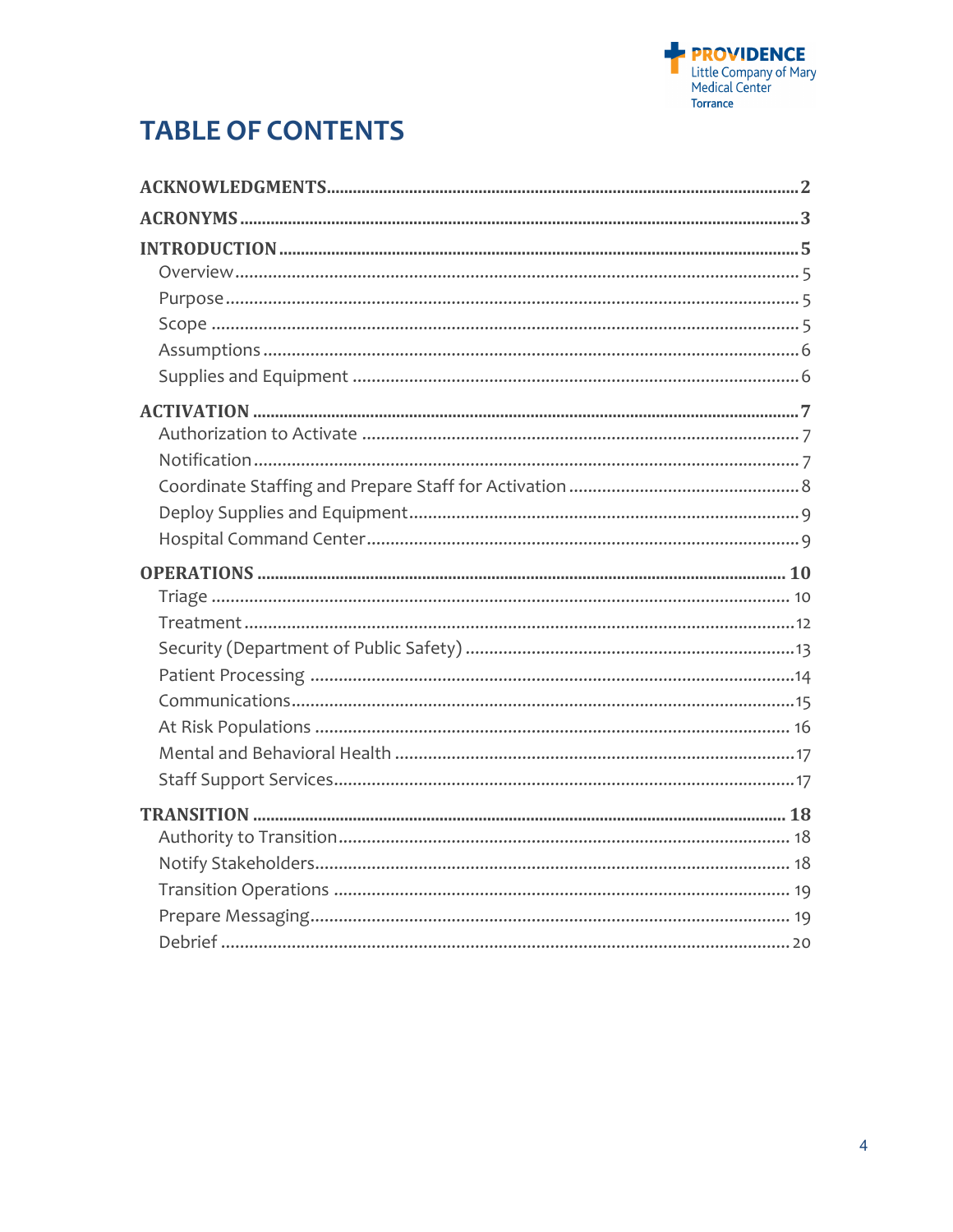

# **TABLE OF CONTENTS**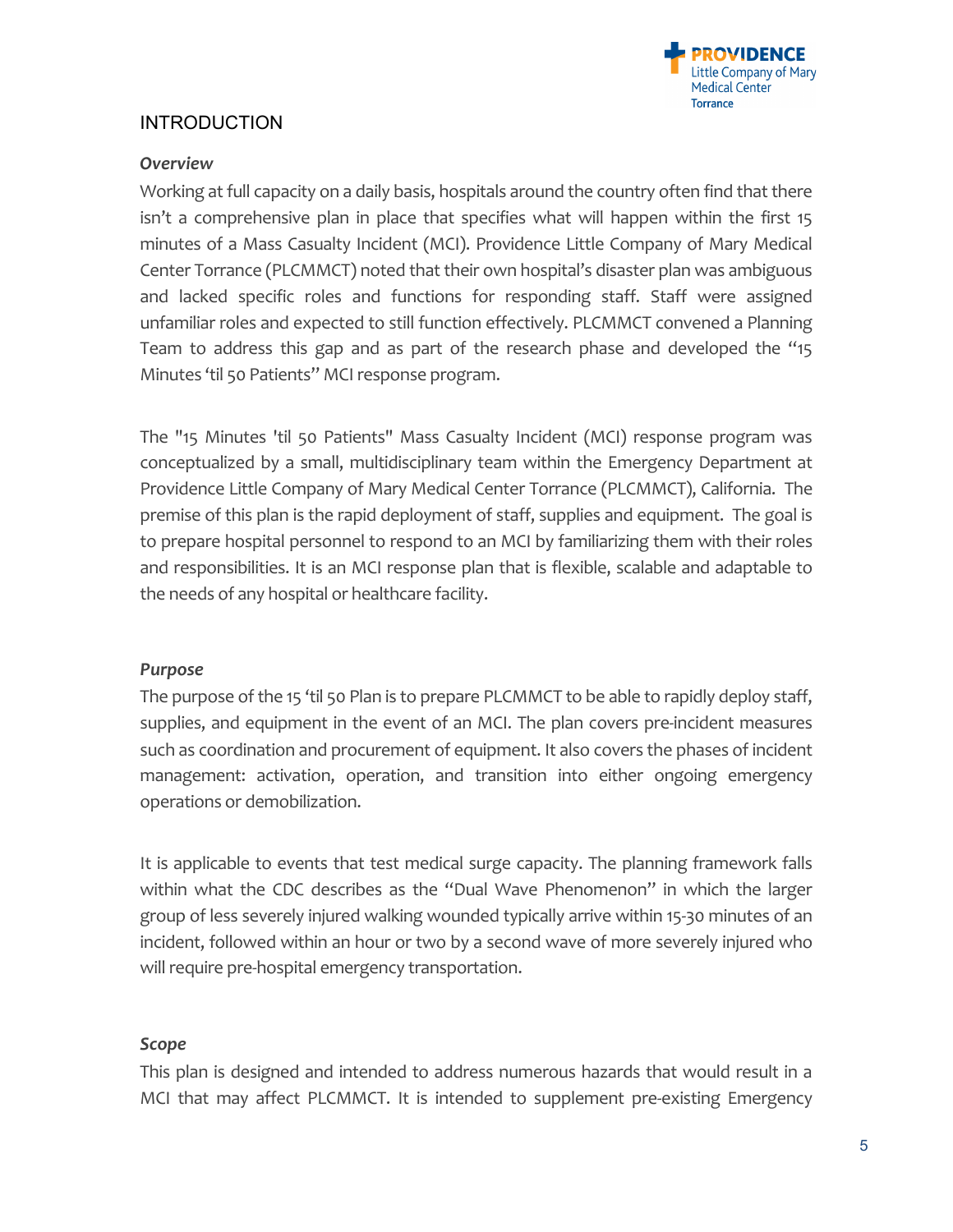

# **INTRODUCTION**

## *Overview*

Working at full capacity on a daily basis, hospitals around the country often find that there isn't a comprehensive plan in place that specifies what will happen within the first 15 minutes of a Mass Casualty Incident (MCI). Providence Little Company of Mary Medical Center Torrance (PLCMMCT) noted that their own hospital's disaster plan was ambiguous and lacked specific roles and functions for responding staff. Staff were assigned unfamiliar roles and expected to still function effectively. PLCMMCT convened a Planning Team to address this gap and as part of the research phase and developed the "15 Minutes 'til 50 Patients" MCI response program.

The "15 Minutes 'til 50 Patients" Mass Casualty Incident (MCI) response program was conceptualized by a small, multidisciplinary team within the Emergency Department at Providence Little Company of Mary Medical Center Torrance (PLCMMCT), California. The premise of this plan is the rapid deployment of staff, supplies and equipment. The goal is to prepare hospital personnel to respond to an MCI by familiarizing them with their roles and responsibilities. It is an MCI response plan that is flexible, scalable and adaptable to the needs of any hospital or healthcare facility.

## *Purpose*

The purpose of the 15 'til 50 Plan is to prepare PLCMMCT to be able to rapidly deploy staff, supplies, and equipment in the event of an MCI. The plan covers pre-incident measures such as coordination and procurement of equipment. It also covers the phases of incident management: activation, operation, and transition into either ongoing emergency operations or demobilization.

It is applicable to events that test medical surge capacity. The planning framework falls within what the CDC describes as the "Dual Wave Phenomenon" in which the larger group of less severely injured walking wounded typically arrive within 15-30 minutes of an incident, followed within an hour or two by a second wave of more severely injured who will require pre-hospital emergency transportation.

## Scope

This plan is designed and intended to address numerous hazards that would result in a MCI that may affect PLCMMCT. It is intended to supplement pre-existing Emergency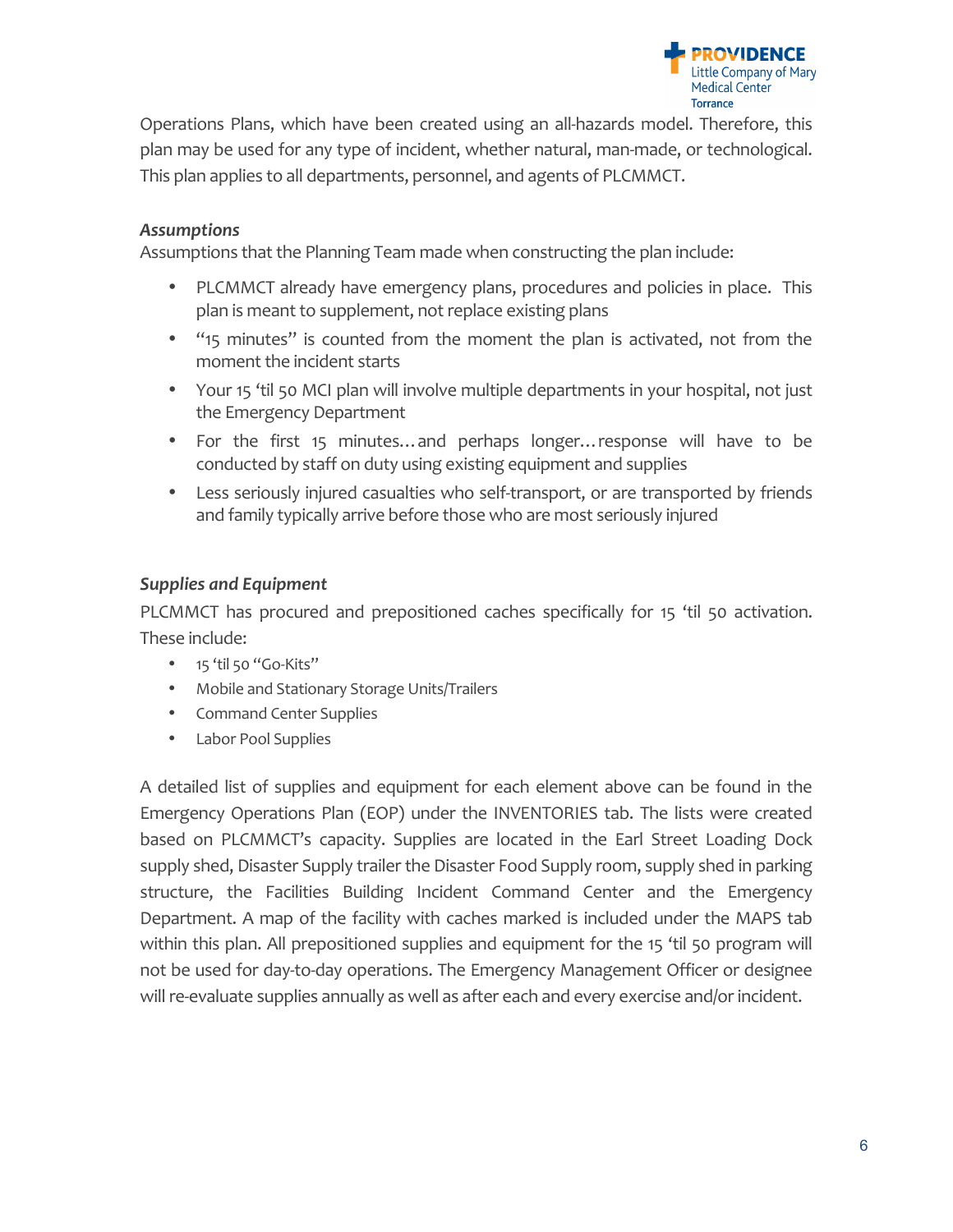

Operations Plans, which have been created using an all-hazards model. Therefore, this plan may be used for any type of incident, whether natural, man-made, or technological. This plan applies to all departments, personnel, and agents of PLCMMCT.

## *Assumptions*

Assumptions that the Planning Team made when constructing the plan include:

- PLCMMCT already have emergency plans, procedures and policies in place. This plan is meant to supplement, not replace existing plans
- "15 minutes" is counted from the moment the plan is activated, not from the moment the incident starts
- Your 15 'til 50 MCI plan will involve multiple departments in your hospital, not just the Emergency Department
- For the first 15 minutes...and perhaps longer...response will have to be conducted by staff on duty using existing equipment and supplies
- Less seriously injured casualties who self-transport, or are transported by friends and family typically arrive before those who are most seriously injured

## **Supplies and Equipment**

PLCMMCT has procured and prepositioned caches specifically for 15 'til 50 activation. These include:

- 15 'til 50 "Go-Kits"
- Mobile and Stationary Storage Units/Trailers
- Command Center Supplies
- Labor Pool Supplies

A detailed list of supplies and equipment for each element above can be found in the Emergency Operations Plan (EOP) under the INVENTORIES tab. The lists were created based on PLCMMCT's capacity. Supplies are located in the Earl Street Loading Dock supply shed, Disaster Supply trailer the Disaster Food Supply room, supply shed in parking structure, the Facilities Building Incident Command Center and the Emergency Department. A map of the facility with caches marked is included under the MAPS tab within this plan. All prepositioned supplies and equipment for the 15 'til 50 program will not be used for day-to-day operations. The Emergency Management Officer or designee will re-evaluate supplies annually as well as after each and every exercise and/or incident.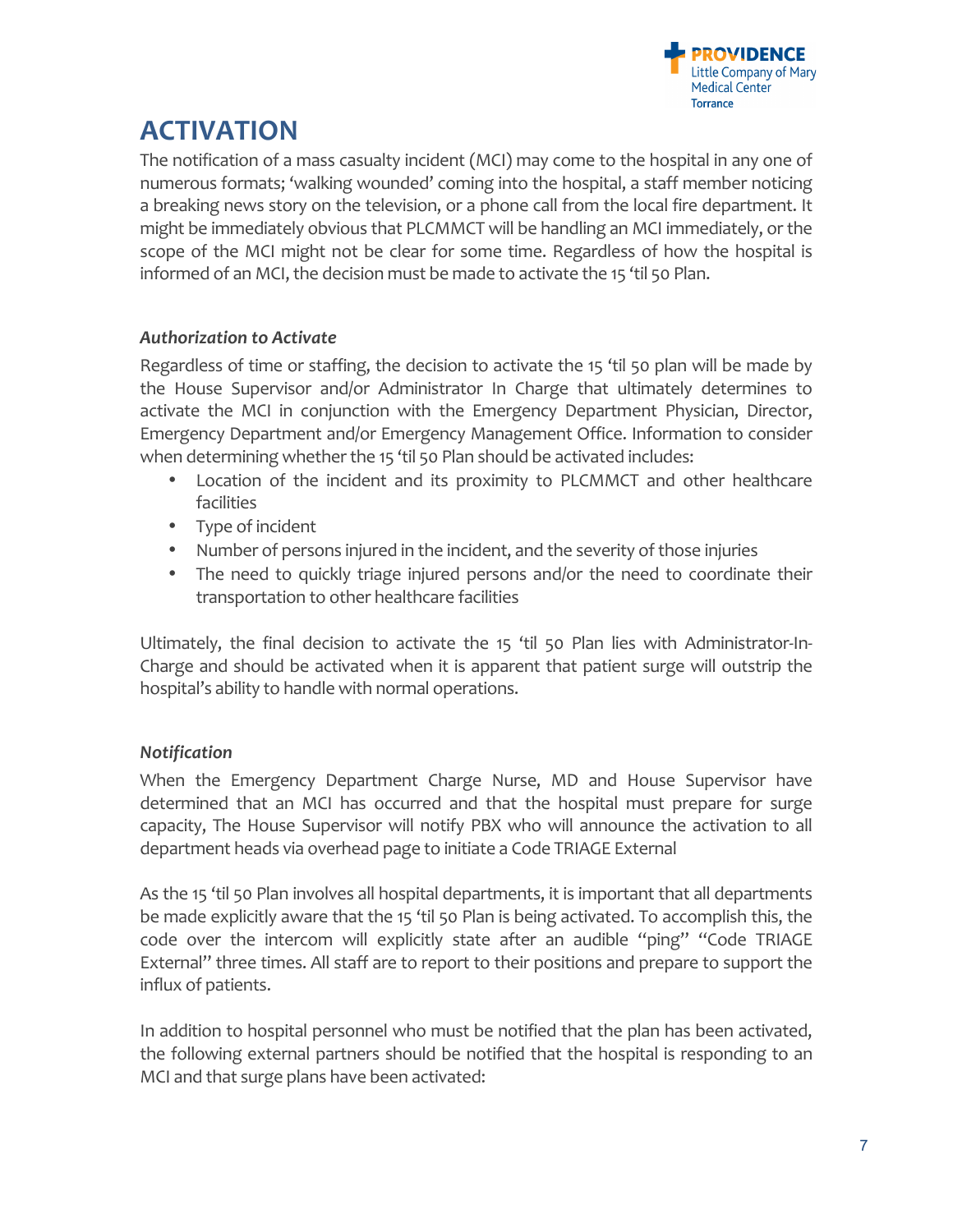

# **ACTIVATION**

The notification of a mass casualty incident (MCI) may come to the hospital in any one of numerous formats; 'walking wounded' coming into the hospital, a staff member noticing a breaking news story on the television, or a phone call from the local fire department. It might be immediately obvious that PLCMMCT will be handling an MCI immediately, or the scope of the MCI might not be clear for some time. Regardless of how the hospital is informed of an MCI, the decision must be made to activate the 15 'til 50 Plan.

# *Authorization to Activate*

Regardless of time or staffing, the decision to activate the 15 'til 50 plan will be made by the House Supervisor and/or Administrator In Charge that ultimately determines to activate the MCI in conjunction with the Emergency Department Physician, Director, Emergency Department and/or Emergency Management Office. Information to consider when determining whether the 15 'til 50 Plan should be activated includes:

- Location of the incident and its proximity to PLCMMCT and other healthcare facilities
- Type of incident
- Number of persons injured in the incident, and the severity of those injuries
- The need to quickly triage injured persons and/or the need to coordinate their transportation to other healthcare facilities

Ultimately, the final decision to activate the 15 'til 50 Plan lies with Administrator-In-Charge and should be activated when it is apparent that patient surge will outstrip the hospital's ability to handle with normal operations.

# *Notification*

When the Emergency Department Charge Nurse, MD and House Supervisor have determined that an MCI has occurred and that the hospital must prepare for surge capacity, The House Supervisor will notify PBX who will announce the activation to all department heads via overhead page to initiate a Code TRIAGE External

As the 15 'til 50 Plan involves all hospital departments, it is important that all departments be made explicitly aware that the 15 'til 50 Plan is being activated. To accomplish this, the code over the intercom will explicitly state after an audible "ping" "Code TRIAGE External" three times. All staff are to report to their positions and prepare to support the influx of patients.

In addition to hospital personnel who must be notified that the plan has been activated, the following external partners should be notified that the hospital is responding to an MCI and that surge plans have been activated: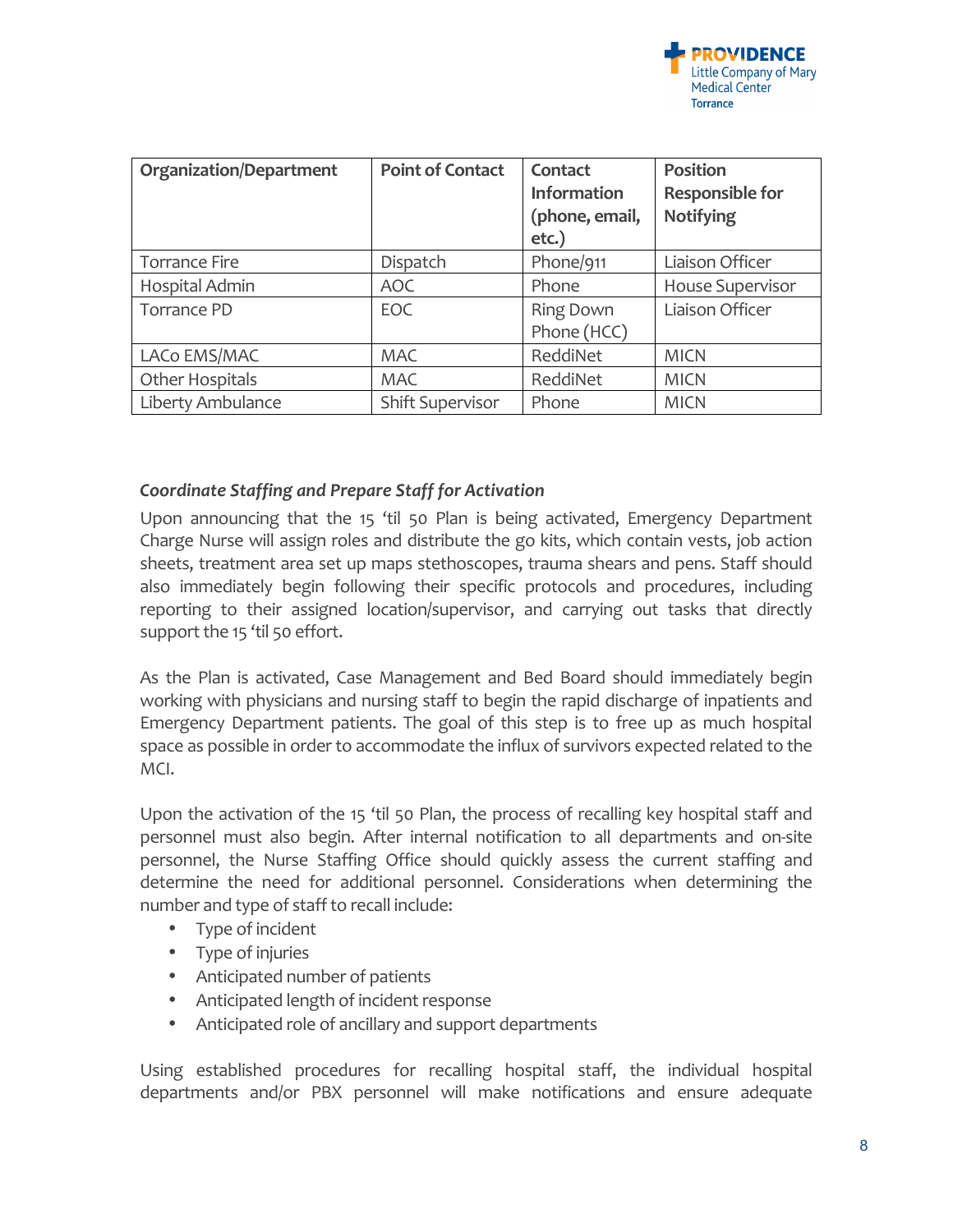

| <b>Organization/Department</b> | <b>Point of Contact</b> | Contact<br>Information<br>(phone, email,<br>$etc.$ ) | <b>Position</b><br><b>Responsible for</b><br><b>Notifying</b> |
|--------------------------------|-------------------------|------------------------------------------------------|---------------------------------------------------------------|
| <b>Torrance Fire</b>           | Dispatch                | Phone/911                                            | Liaison Officer                                               |
| Hospital Admin                 | <b>AOC</b>              | Phone                                                | <b>House Supervisor</b>                                       |
| Torrance PD                    | EOC                     | <b>Ring Down</b><br>Phone (HCC)                      | Liaison Officer                                               |
| LACo EMS/MAC                   | <b>MAC</b>              | ReddiNet                                             | <b>MICN</b>                                                   |
| Other Hospitals                | <b>MAC</b>              | ReddiNet                                             | <b>MICN</b>                                                   |
| Liberty Ambulance              | <b>Shift Supervisor</b> | Phone                                                | <b>MICN</b>                                                   |

#### *Coordinate Staffing and Prepare Staff for Activation*

Upon announcing that the 15 'til 50 Plan is being activated, Emergency Department Charge Nurse will assign roles and distribute the go kits, which contain vests, job action sheets, treatment area set up maps stethoscopes, trauma shears and pens. Staff should also immediately begin following their specific protocols and procedures, including reporting to their assigned location/supervisor, and carrying out tasks that directly support the 15 'til 50 effort.

As the Plan is activated, Case Management and Bed Board should immediately begin working with physicians and nursing staff to begin the rapid discharge of inpatients and Emergency Department patients. The goal of this step is to free up as much hospital space as possible in order to accommodate the influx of survivors expected related to the MCI. 

Upon the activation of the 15 'til 50 Plan, the process of recalling key hospital staff and personnel must also begin. After internal notification to all departments and on-site personnel, the Nurse Staffing Office should quickly assess the current staffing and determine the need for additional personnel. Considerations when determining the number and type of staff to recall include:

- Type of incident
- Type of injuries
- Anticipated number of patients
- Anticipated length of incident response
- Anticipated role of ancillary and support departments

Using established procedures for recalling hospital staff, the individual hospital departments and/or PBX personnel will make notifications and ensure adequate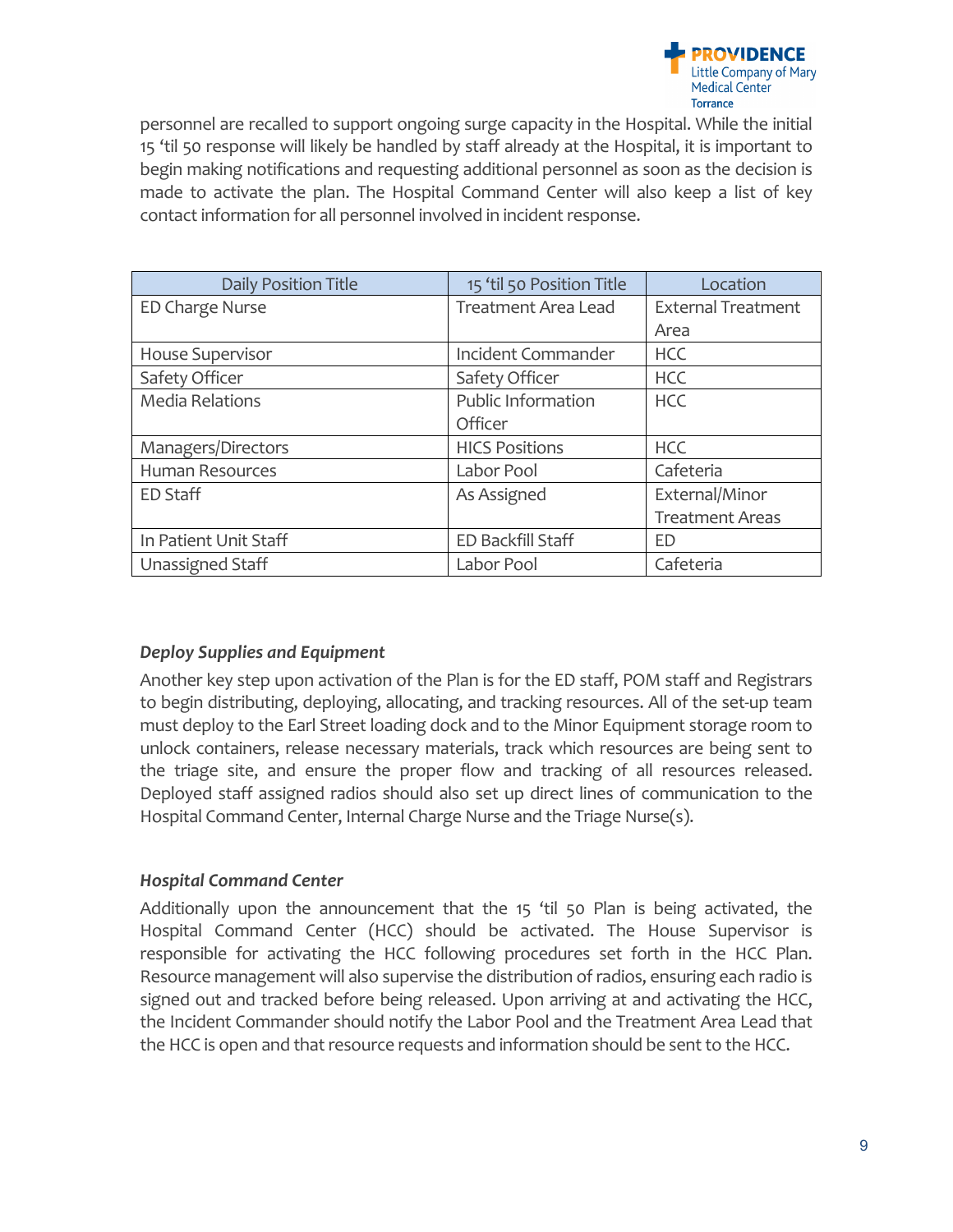

personnel are recalled to support ongoing surge capacity in the Hospital. While the initial 15 'til 50 response will likely be handled by staff already at the Hospital, it is important to begin making notifications and requesting additional personnel as soon as the decision is made to activate the plan. The Hospital Command Center will also keep a list of key contact information for all personnel involved in incident response.

| <b>Daily Position Title</b> | 15 'til 50 Position Title | Location                  |
|-----------------------------|---------------------------|---------------------------|
| ED Charge Nurse             | Treatment Area Lead       | <b>External Treatment</b> |
|                             |                           | Area                      |
| <b>House Supervisor</b>     | Incident Commander        | <b>HCC</b>                |
| Safety Officer              | Safety Officer            | <b>HCC</b>                |
| <b>Media Relations</b>      | Public Information        | <b>HCC</b>                |
|                             | Officer                   |                           |
| Managers/Directors          | <b>HICS Positions</b>     | <b>HCC</b>                |
| <b>Human Resources</b>      | Labor Pool                | Cafeteria                 |
| <b>ED Staff</b>             | As Assigned               | External/Minor            |
|                             |                           | <b>Treatment Areas</b>    |
| In Patient Unit Staff       | ED Backfill Staff         | ED                        |
| Unassigned Staff            | Labor Pool                | Cafeteria                 |

## **Deploy Supplies and Equipment**

Another key step upon activation of the Plan is for the ED staff, POM staff and Registrars to begin distributing, deploying, allocating, and tracking resources. All of the set-up team must deploy to the Earl Street loading dock and to the Minor Equipment storage room to unlock containers, release necessary materials, track which resources are being sent to the triage site, and ensure the proper flow and tracking of all resources released. Deployed staff assigned radios should also set up direct lines of communication to the Hospital Command Center, Internal Charge Nurse and the Triage Nurse(s).

## *Hospital Command Center*

Additionally upon the announcement that the  $15$  'til 50 Plan is being activated, the Hospital Command Center (HCC) should be activated. The House Supervisor is responsible for activating the HCC following procedures set forth in the HCC Plan. Resource management will also supervise the distribution of radios, ensuring each radio is signed out and tracked before being released. Upon arriving at and activating the HCC, the Incident Commander should notify the Labor Pool and the Treatment Area Lead that the HCC is open and that resource requests and information should be sent to the HCC.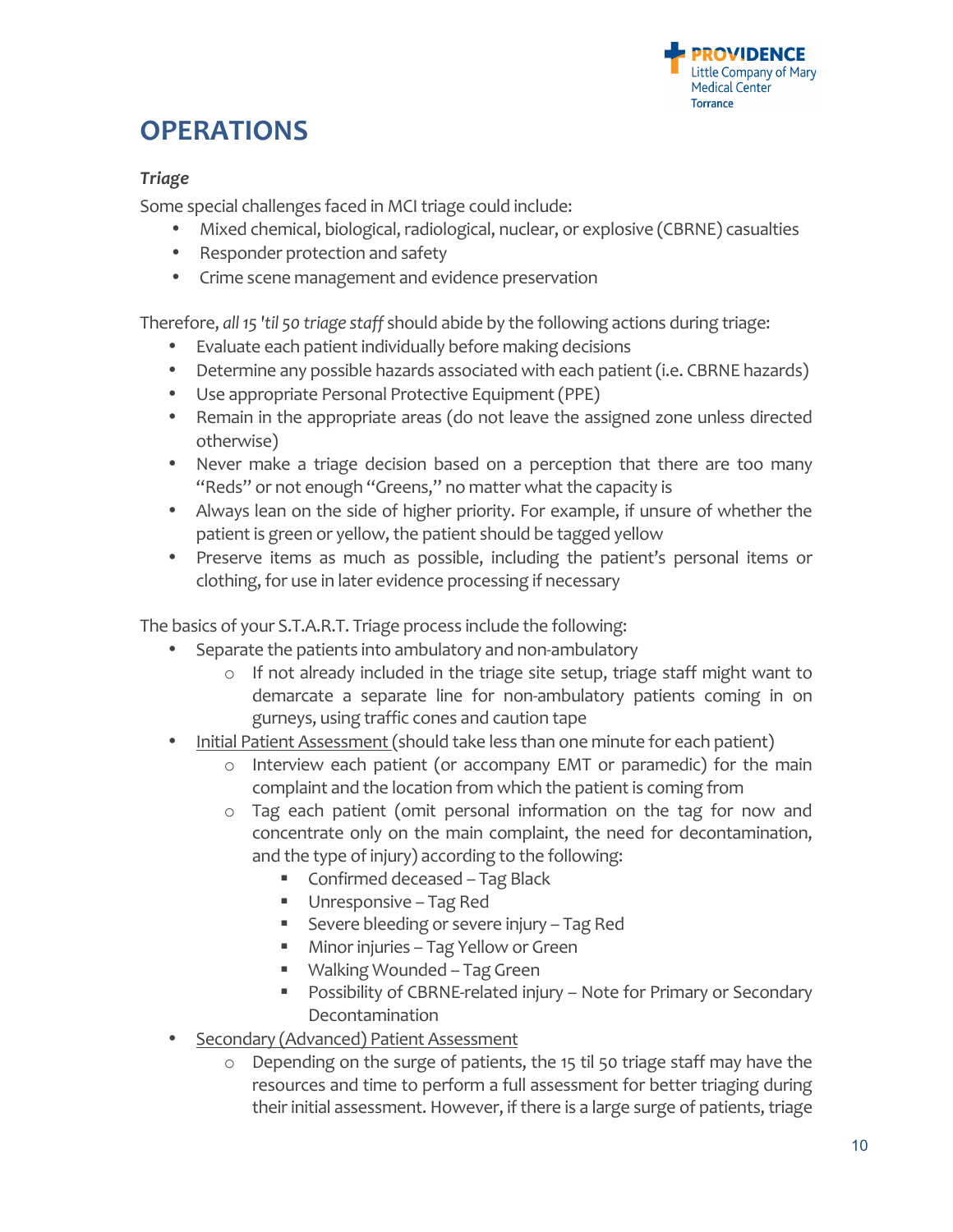

# **OPERATIONS**

## *Triage*

Some special challenges faced in MCI triage could include:

- Mixed chemical, biological, radiological, nuclear, or explosive (CBRNE) casualties
- Responder protection and safety
- Crime scene management and evidence preservation

Therefore, *all* 15 'til 50 triage staff should abide by the following actions during triage:

- Evaluate each patient individually before making decisions
- Determine any possible hazards associated with each patient (i.e. CBRNE hazards)
- Use appropriate Personal Protective Equipment (PPE)
- Remain in the appropriate areas (do not leave the assigned zone unless directed otherwise)
- Never make a triage decision based on a perception that there are too many "Reds" or not enough "Greens," no matter what the capacity is
- Always lean on the side of higher priority. For example, if unsure of whether the patient is green or yellow, the patient should be tagged yellow
- Preserve items as much as possible, including the patient's personal items or clothing, for use in later evidence processing if necessary

The basics of your S.T.A.R.T. Triage process include the following:

- Separate the patients into ambulatory and non-ambulatory
	- $\circ$  If not already included in the triage site setup, triage staff might want to demarcate a separate line for non-ambulatory patients coming in on gurneys, using traffic cones and caution tape
- Initial Patient Assessment (should take less than one minute for each patient)
	- $\circ$  Interview each patient (or accompany EMT or paramedic) for the main complaint and the location from which the patient is coming from
	- $\circ$  Tag each patient (omit personal information on the tag for now and concentrate only on the main complaint, the need for decontamination, and the type of injury) according to the following:
		- Confirmed deceased Tag Black
		- Unresponsive Tag Red
		- Severe bleeding or severe injury Tag Red
		- Minor injuries Tag Yellow or Green
		- Walking Wounded Tag Green
		- **Possibility of CBRNE-related injury** Note for Primary or Secondary Decontamination
- Secondary (Advanced) Patient Assessment
	- $\circ$  Depending on the surge of patients, the 15 til 50 triage staff may have the resources and time to perform a full assessment for better triaging during their initial assessment. However, if there is a large surge of patients, triage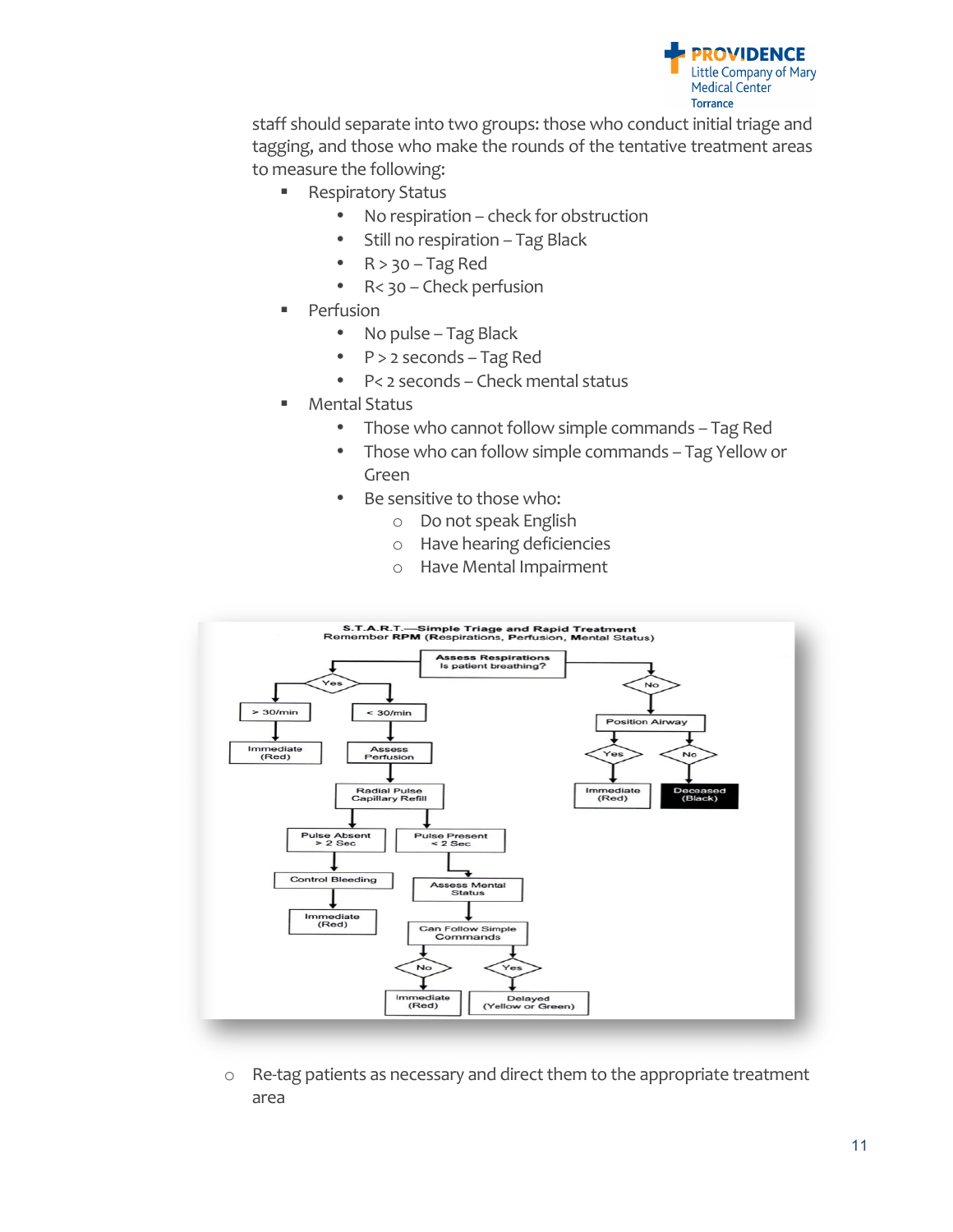

staff should separate into two groups: those who conduct initial triage and tagging, and those who make the rounds of the tentative treatment areas to measure the following:

- Respiratory Status
	- No respiration check for obstruction
	- Still no respiration Tag Black
	- $R > 30 Tag Red$
	- R< 30 Check perfusion
- **Perfusion** 
	- No pulse Tag Black
	- P > 2 seconds Tag Red
	- P< 2 seconds Check mental status
- **Mental Status** 
	- Those who cannot follow simple commands Tag Red
	- Those who can follow simple commands Tag Yellow or Green
	- Be sensitive to those who:
		- o Do not speak English
		- o Have hearing deficiencies
		- o Have Mental Impairment



 $\circ$  Re-tag patients as necessary and direct them to the appropriate treatment area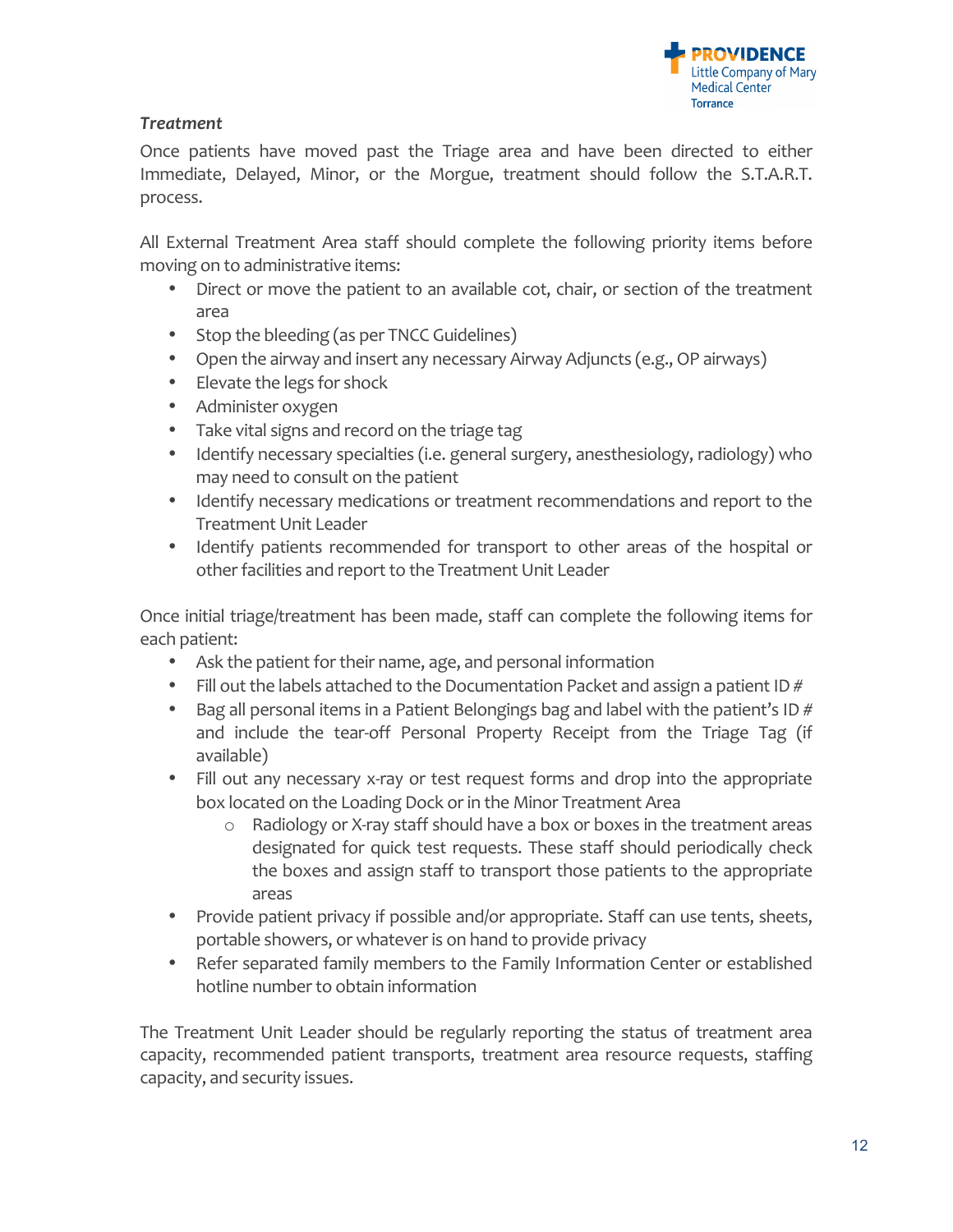

# *Treatment*

Once patients have moved past the Triage area and have been directed to either Immediate, Delayed, Minor, or the Morgue, treatment should follow the S.T.A.R.T. process.

All External Treatment Area staff should complete the following priority items before moving on to administrative items:

- Direct or move the patient to an available cot, chair, or section of the treatment area
- Stop the bleeding (as per TNCC Guidelines)
- Open the airway and insert any necessary Airway Adjuncts (e.g., OP airways)
- Elevate the legs for shock
- Administer oxygen
- Take vital signs and record on the triage tag
- Identify necessary specialties (i.e. general surgery, anesthesiology, radiology) who may need to consult on the patient
- Identify necessary medications or treatment recommendations and report to the Treatment Unit Leader
- Identify patients recommended for transport to other areas of the hospital or other facilities and report to the Treatment Unit Leader

Once initial triage/treatment has been made, staff can complete the following items for each patient:

- Ask the patient for their name, age, and personal information
- Fill out the labels attached to the Documentation Packet and assign a patient ID  $#$
- Bag all personal items in a Patient Belongings bag and label with the patient's ID  $#$ and include the tear-off Personal Property Receipt from the Triage Tag (if available)
- Fill out any necessary x-ray or test request forms and drop into the appropriate box located on the Loading Dock or in the Minor Treatment Area
	- $\circ$  Radiology or X-ray staff should have a box or boxes in the treatment areas designated for quick test requests. These staff should periodically check the boxes and assign staff to transport those patients to the appropriate areas
- Provide patient privacy if possible and/or appropriate. Staff can use tents, sheets, portable showers, or whatever is on hand to provide privacy
- Refer separated family members to the Family Information Center or established hotline number to obtain information

The Treatment Unit Leader should be regularly reporting the status of treatment area capacity, recommended patient transports, treatment area resource requests, staffing capacity, and security issues.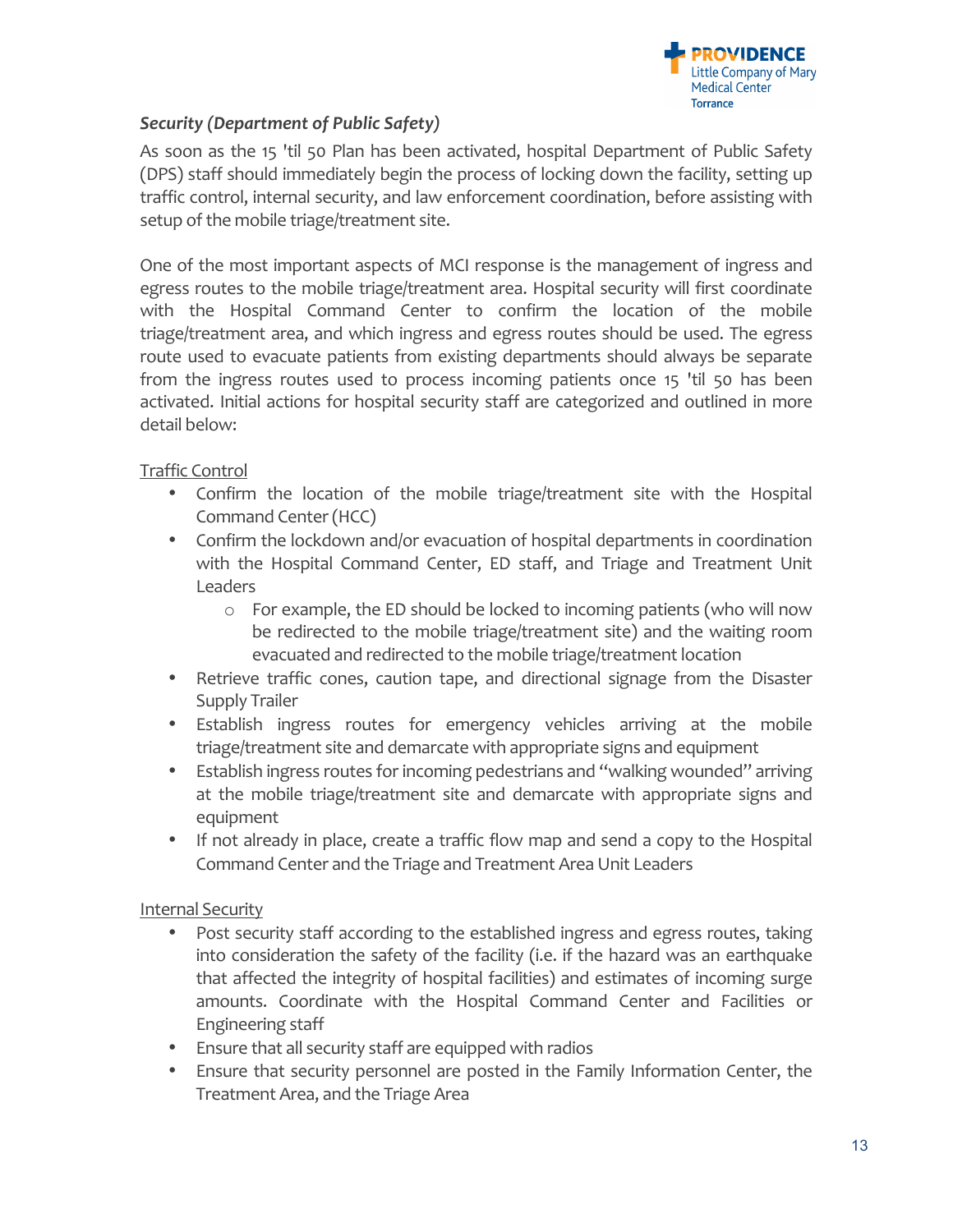

# *Security (Department of Public Safety)*

As soon as the 15 'til 50 Plan has been activated, hospital Department of Public Safety (DPS) staff should immediately begin the process of locking down the facility, setting up traffic control, internal security, and law enforcement coordination, before assisting with setup of the mobile triage/treatment site.

One of the most important aspects of MCI response is the management of ingress and egress routes to the mobile triage/treatment area. Hospital security will first coordinate with the Hospital Command Center to confirm the location of the mobile triage/treatment area, and which ingress and egress routes should be used. The egress route used to evacuate patients from existing departments should always be separate from the ingress routes used to process incoming patients once 15 'til 50 has been activated. Initial actions for hospital security staff are categorized and outlined in more detail below:

# Traffic Control

- Confirm the location of the mobile triage/treatment site with the Hospital Command Center (HCC)
- Confirm the lockdown and/or evacuation of hospital departments in coordination with the Hospital Command Center, ED staff, and Triage and Treatment Unit Leaders
	- $\circ$  For example, the ED should be locked to incoming patients (who will now be redirected to the mobile triage/treatment site) and the waiting room evacuated and redirected to the mobile triage/treatment location
- Retrieve traffic cones, caution tape, and directional signage from the Disaster Supply Trailer
- Establish ingress routes for emergency vehicles arriving at the mobile triage/treatment site and demarcate with appropriate signs and equipment
- Establish ingress routes for incoming pedestrians and "walking wounded" arriving at the mobile triage/treatment site and demarcate with appropriate signs and equipment
- If not already in place, create a traffic flow map and send a copy to the Hospital Command Center and the Triage and Treatment Area Unit Leaders

## Internal Security

- Post security staff according to the established ingress and egress routes, taking into consideration the safety of the facility (i.e. if the hazard was an earthquake that affected the integrity of hospital facilities) and estimates of incoming surge amounts. Coordinate with the Hospital Command Center and Facilities or Engineering staff
- Ensure that all security staff are equipped with radios
- Ensure that security personnel are posted in the Family Information Center, the Treatment Area, and the Triage Area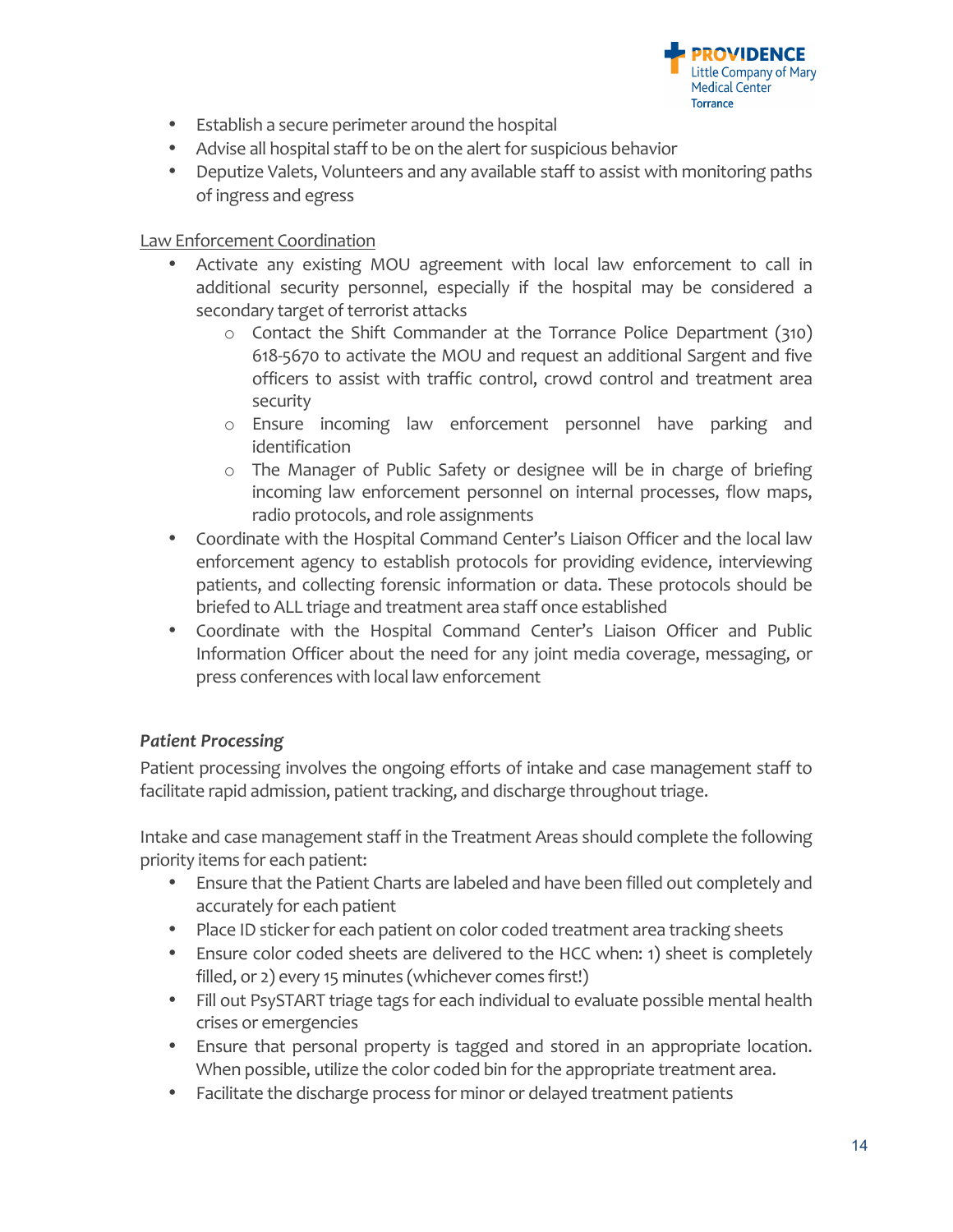

- Establish a secure perimeter around the hospital
- Advise all hospital staff to be on the alert for suspicious behavior
- Deputize Valets, Volunteers and any available staff to assist with monitoring paths of ingress and egress

#### Law Enforcement Coordination

- Activate any existing MOU agreement with local law enforcement to call in additional security personnel, especially if the hospital may be considered a secondary target of terrorist attacks
	- o Contact the Shift Commander at the Torrance Police Department (310) 618-5670 to activate the MOU and request an additional Sargent and five officers to assist with traffic control, crowd control and treatment area security
	- o Ensure incoming law enforcement personnel have parking and identification
	- o The Manager of Public Safety or designee will be in charge of briefing incoming law enforcement personnel on internal processes, flow maps, radio protocols, and role assignments
- Coordinate with the Hospital Command Center's Liaison Officer and the local law enforcement agency to establish protocols for providing evidence, interviewing patients, and collecting forensic information or data. These protocols should be briefed to ALL triage and treatment area staff once established
- Coordinate with the Hospital Command Center's Liaison Officer and Public Information Officer about the need for any joint media coverage, messaging, or press conferences with local law enforcement

## *Patient Processing*

Patient processing involves the ongoing efforts of intake and case management staff to facilitate rapid admission, patient tracking, and discharge throughout triage.

Intake and case management staff in the Treatment Areas should complete the following priority items for each patient:

- Ensure that the Patient Charts are labeled and have been filled out completely and accurately for each patient
- Place ID sticker for each patient on color coded treatment area tracking sheets
- Ensure color coded sheets are delivered to the HCC when: 1) sheet is completely filled, or 2) every 15 minutes (whichever comes first!)
- Fill out PsySTART triage tags for each individual to evaluate possible mental health crises or emergencies
- Ensure that personal property is tagged and stored in an appropriate location. When possible, utilize the color coded bin for the appropriate treatment area.
- Facilitate the discharge process for minor or delayed treatment patients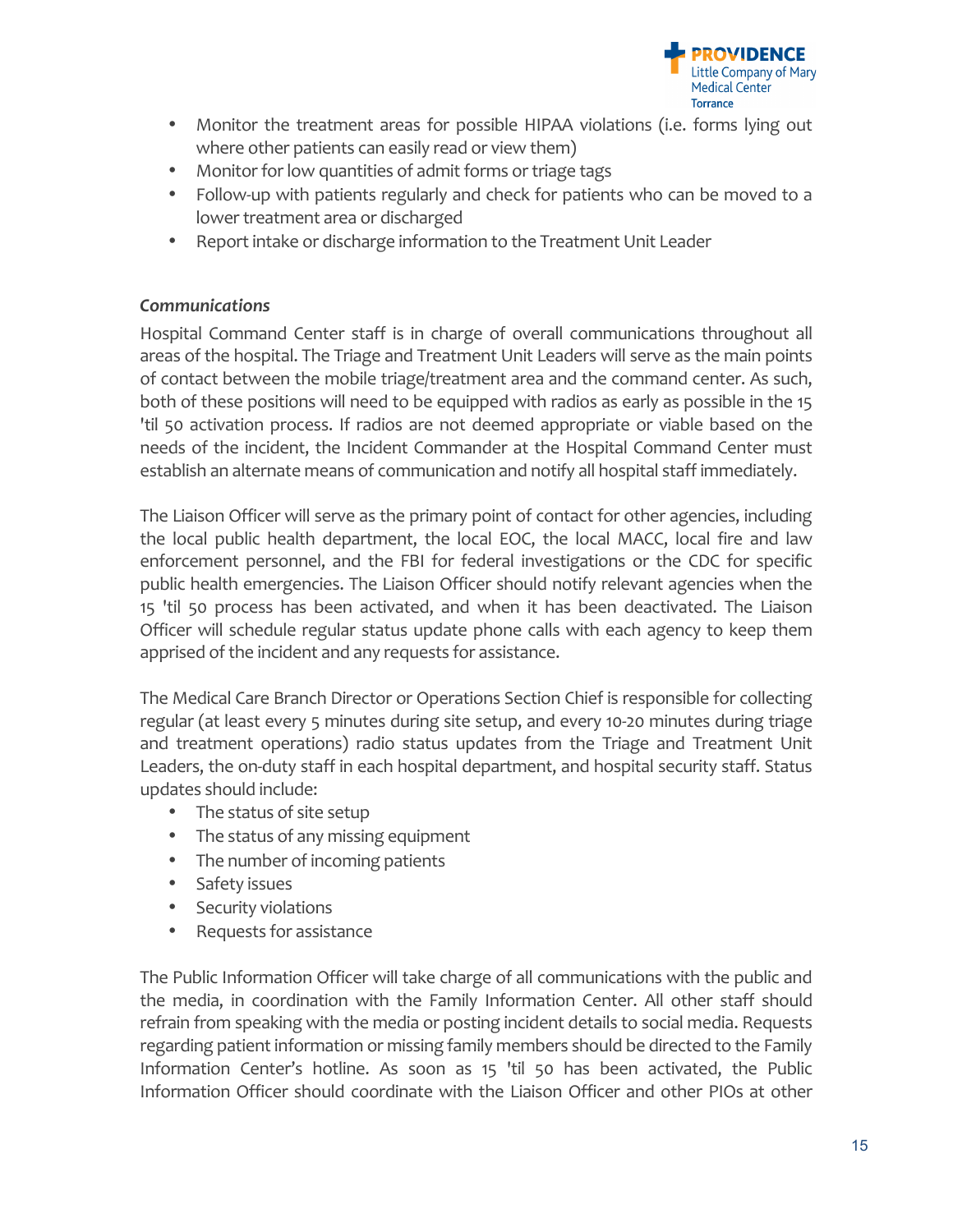

- Monitor the treatment areas for possible HIPAA violations (i.e. forms lying out where other patients can easily read or view them)
- Monitor for low quantities of admit forms or triage tags
- Follow-up with patients regularly and check for patients who can be moved to a lower treatment area or discharged
- Report intake or discharge information to the Treatment Unit Leader

#### *Communications*

Hospital Command Center staff is in charge of overall communications throughout all areas of the hospital. The Triage and Treatment Unit Leaders will serve as the main points of contact between the mobile triage/treatment area and the command center. As such, both of these positions will need to be equipped with radios as early as possible in the 15 'til 50 activation process. If radios are not deemed appropriate or viable based on the needs of the incident, the Incident Commander at the Hospital Command Center must establish an alternate means of communication and notify all hospital staff immediately.

The Liaison Officer will serve as the primary point of contact for other agencies, including the local public health department, the local EOC, the local MACC, local fire and law enforcement personnel, and the FBI for federal investigations or the CDC for specific public health emergencies. The Liaison Officer should notify relevant agencies when the 15 'til 50 process has been activated, and when it has been deactivated. The Liaison Officer will schedule regular status update phone calls with each agency to keep them apprised of the incident and any requests for assistance.

The Medical Care Branch Director or Operations Section Chief is responsible for collecting regular (at least every 5 minutes during site setup, and every 10-20 minutes during triage and treatment operations) radio status updates from the Triage and Treatment Unit Leaders, the on-duty staff in each hospital department, and hospital security staff. Status updates should include:

- The status of site setup
- The status of any missing equipment
- The number of incoming patients
- Safety issues
- Security violations
- Requests for assistance

The Public Information Officer will take charge of all communications with the public and the media, in coordination with the Family Information Center. All other staff should refrain from speaking with the media or posting incident details to social media. Requests regarding patient information or missing family members should be directed to the Family Information Center's hotline. As soon as 15 'til 50 has been activated, the Public Information Officer should coordinate with the Liaison Officer and other PIOs at other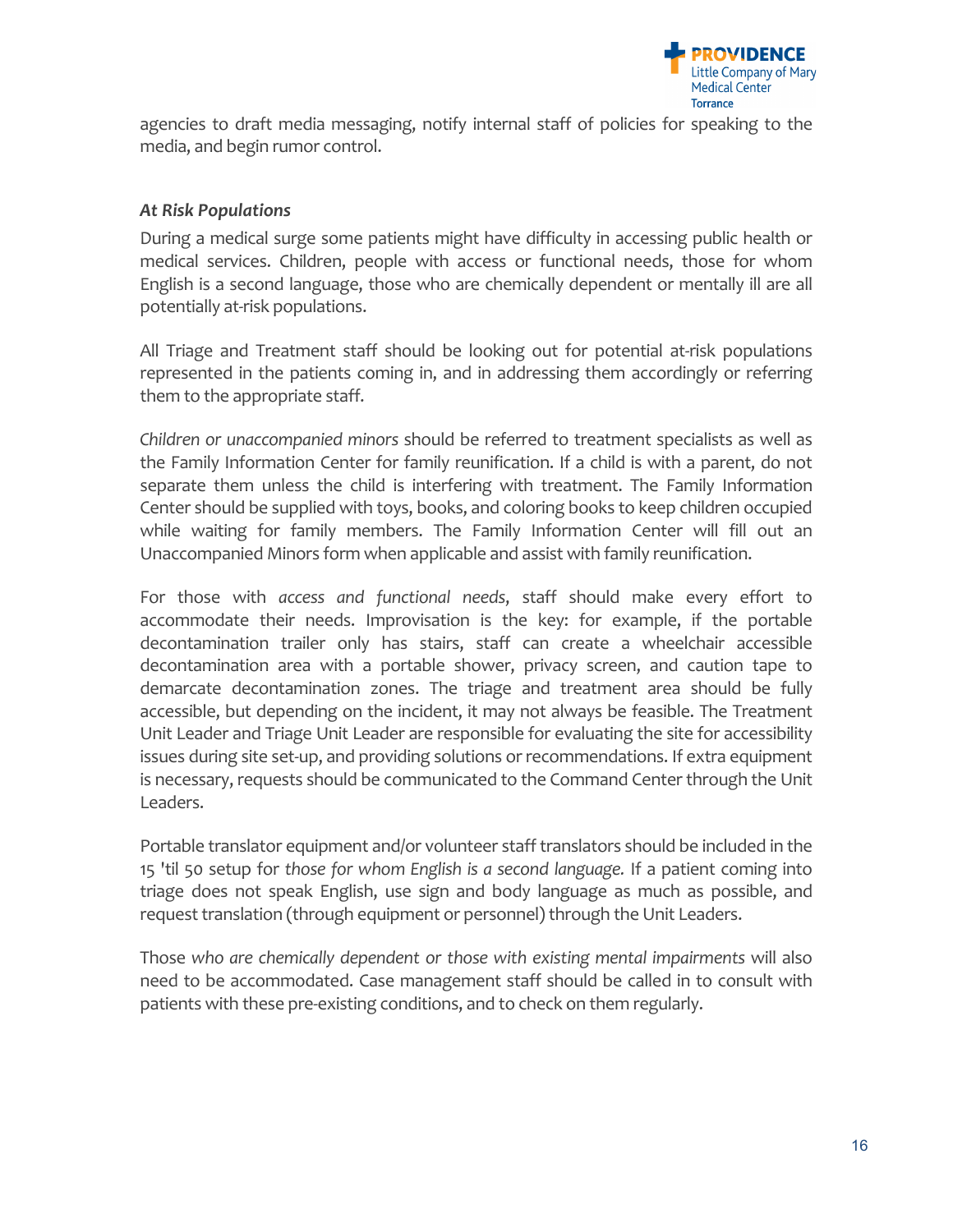

agencies to draft media messaging, notify internal staff of policies for speaking to the media, and begin rumor control.

#### *At Risk Populations*

During a medical surge some patients might have difficulty in accessing public health or medical services. Children, people with access or functional needs, those for whom English is a second language, those who are chemically dependent or mentally ill are all potentially at-risk populations.

All Triage and Treatment staff should be looking out for potential at-risk populations represented in the patients coming in, and in addressing them accordingly or referring them to the appropriate staff.

*Children or unaccompanied minors* should be referred to treatment specialists as well as the Family Information Center for family reunification. If a child is with a parent, do not separate them unless the child is interfering with treatment. The Family Information Center should be supplied with toys, books, and coloring books to keep children occupied while waiting for family members. The Family Information Center will fill out an Unaccompanied Minors form when applicable and assist with family reunification.

For those with *access and functional needs*, staff should make every effort to accommodate their needs. Improvisation is the key: for example, if the portable decontamination trailer only has stairs, staff can create a wheelchair accessible decontamination area with a portable shower, privacy screen, and caution tape to demarcate decontamination zones. The triage and treatment area should be fully accessible, but depending on the incident, it may not always be feasible. The Treatment Unit Leader and Triage Unit Leader are responsible for evaluating the site for accessibility issues during site set-up, and providing solutions or recommendations. If extra equipment is necessary, requests should be communicated to the Command Center through the Unit Leaders. 

Portable translator equipment and/or volunteer staff translators should be included in the 15 'til 50 setup for those for whom English is a second language. If a patient coming into triage does not speak English, use sign and body language as much as possible, and request translation (through equipment or personnel) through the Unit Leaders.

Those who are chemically dependent or those with existing mental impairments will also need to be accommodated. Case management staff should be called in to consult with patients with these pre-existing conditions, and to check on them regularly.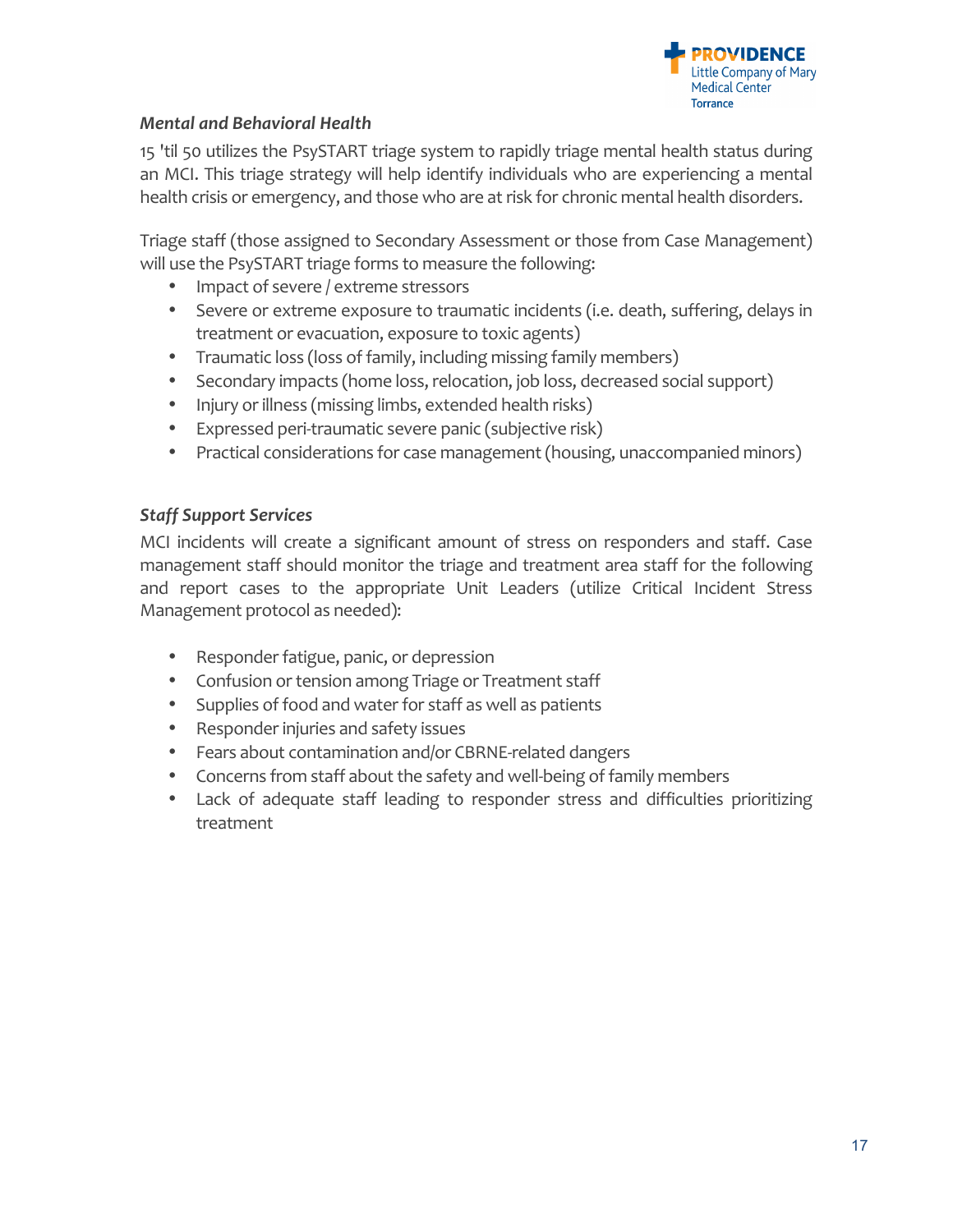

# *Mental and Behavioral Health*

15 'til 50 utilizes the PsySTART triage system to rapidly triage mental health status during an MCI. This triage strategy will help identify individuals who are experiencing a mental health crisis or emergency, and those who are at risk for chronic mental health disorders.

Triage staff (those assigned to Secondary Assessment or those from Case Management) will use the PsySTART triage forms to measure the following:

- Impact of severe / extreme stressors
- Severe or extreme exposure to traumatic incidents (i.e. death, suffering, delays in treatment or evacuation, exposure to toxic agents)
- Traumatic loss (loss of family, including missing family members)
- Secondary impacts (home loss, relocation, job loss, decreased social support)
- Injury or illness (missing limbs, extended health risks)
- Expressed peri-traumatic severe panic (subjective risk)
- Practical considerations for case management (housing, unaccompanied minors)

# **Staff Support Services**

MCI incidents will create a significant amount of stress on responders and staff. Case management staff should monitor the triage and treatment area staff for the following and report cases to the appropriate Unit Leaders (utilize Critical Incident Stress Management protocol as needed):

- Responder fatigue, panic, or depression
- Confusion or tension among Triage or Treatment staff
- Supplies of food and water for staff as well as patients
- Responder injuries and safety issues
- Fears about contamination and/or CBRNE-related dangers
- Concerns from staff about the safety and well-being of family members
- Lack of adequate staff leading to responder stress and difficulties prioritizing treatment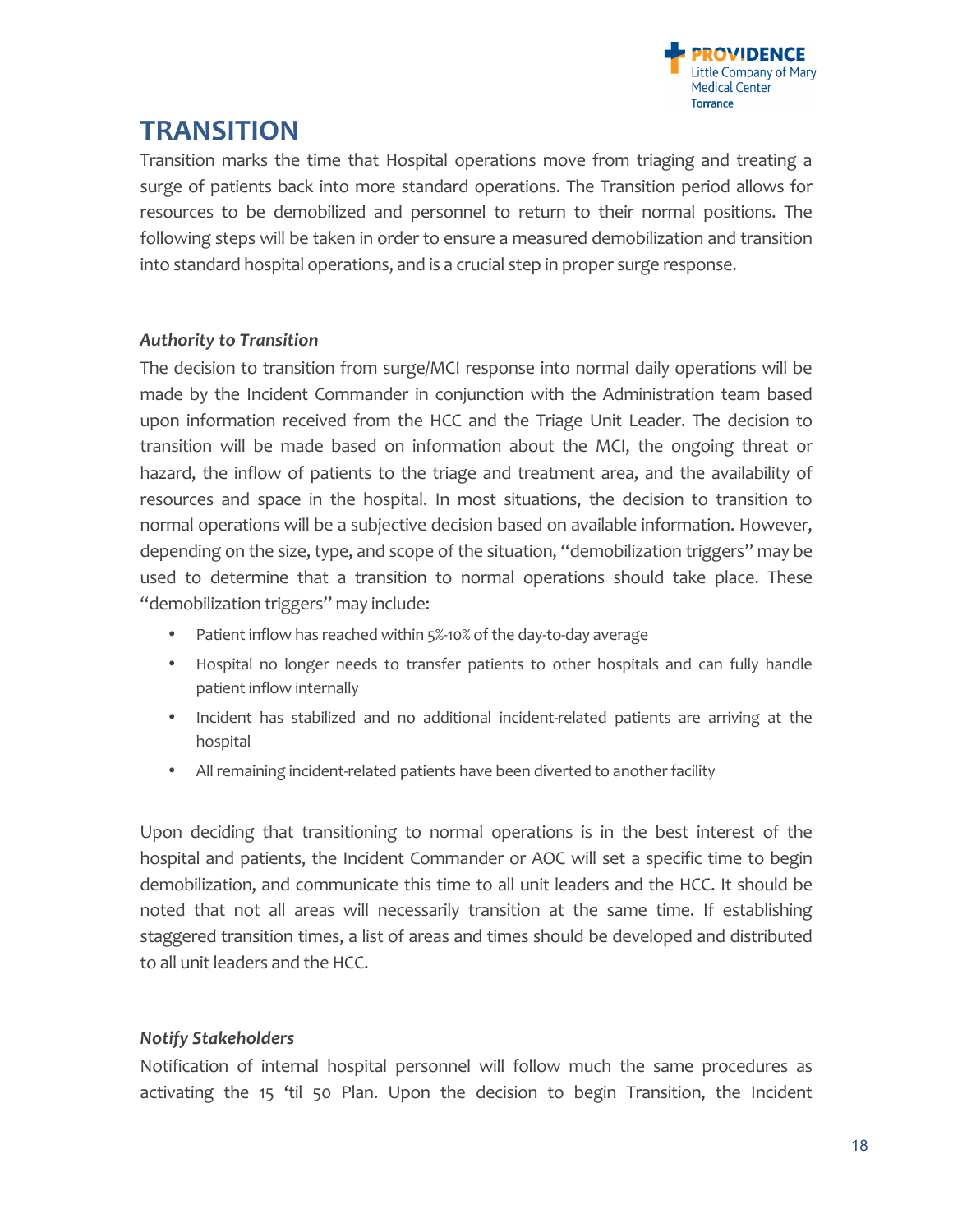

# **TRANSITION**

Transition marks the time that Hospital operations move from triaging and treating a surge of patients back into more standard operations. The Transition period allows for resources to be demobilized and personnel to return to their normal positions. The following steps will be taken in order to ensure a measured demobilization and transition into standard hospital operations, and is a crucial step in proper surge response.

#### *Authority to Transition*

The decision to transition from surge/MCI response into normal daily operations will be made by the Incident Commander in conjunction with the Administration team based upon information received from the HCC and the Triage Unit Leader. The decision to transition will be made based on information about the MCI, the ongoing threat or hazard, the inflow of patients to the triage and treatment area, and the availability of resources and space in the hospital. In most situations, the decision to transition to normal operations will be a subjective decision based on available information. However, depending on the size, type, and scope of the situation, "demobilization triggers" may be used to determine that a transition to normal operations should take place. These "demobilization triggers" may include:

- Patient inflow has reached within 5%-10% of the day-to-day average
- Hospital no longer needs to transfer patients to other hospitals and can fully handle patient inflow internally
- Incident has stabilized and no additional incident-related patients are arriving at the hospital
- All remaining incident-related patients have been diverted to another facility

Upon deciding that transitioning to normal operations is in the best interest of the hospital and patients, the Incident Commander or AOC will set a specific time to begin demobilization, and communicate this time to all unit leaders and the HCC. It should be noted that not all areas will necessarily transition at the same time. If establishing staggered transition times, a list of areas and times should be developed and distributed to all unit leaders and the HCC.

## *Notify Stakeholders*

Notification of internal hospital personnel will follow much the same procedures as activating the 15 'til 50 Plan. Upon the decision to begin Transition, the Incident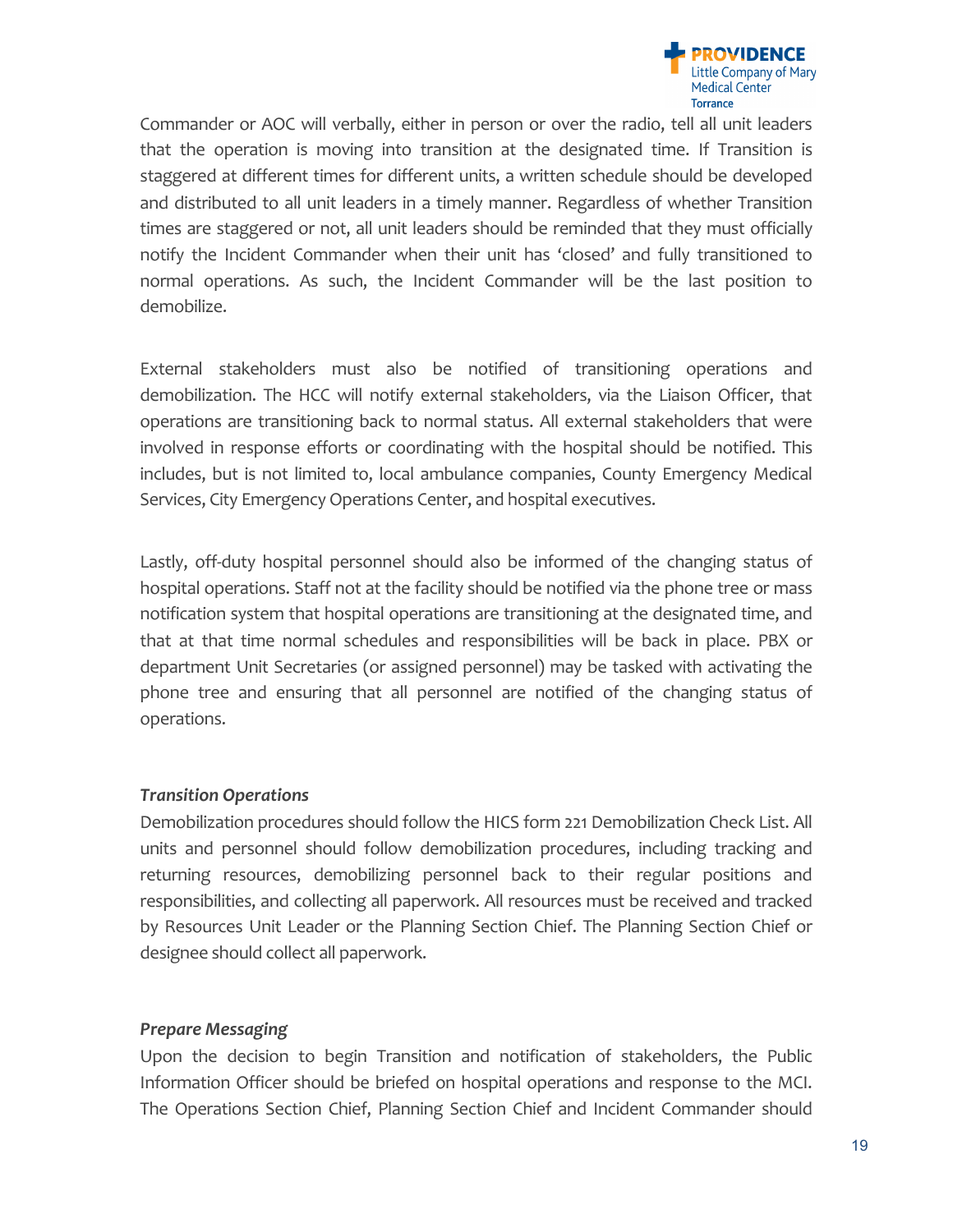

Commander or AOC will verbally, either in person or over the radio, tell all unit leaders that the operation is moving into transition at the designated time. If Transition is staggered at different times for different units, a written schedule should be developed and distributed to all unit leaders in a timely manner. Regardless of whether Transition times are staggered or not, all unit leaders should be reminded that they must officially notify the Incident Commander when their unit has 'closed' and fully transitioned to normal operations. As such, the Incident Commander will be the last position to demobilize. 

External stakeholders must also be notified of transitioning operations and demobilization. The HCC will notify external stakeholders, via the Liaison Officer, that operations are transitioning back to normal status. All external stakeholders that were involved in response efforts or coordinating with the hospital should be notified. This includes, but is not limited to, local ambulance companies, County Emergency Medical Services, City Emergency Operations Center, and hospital executives.

Lastly, off-duty hospital personnel should also be informed of the changing status of hospital operations. Staff not at the facility should be notified via the phone tree or mass notification system that hospital operations are transitioning at the designated time, and that at that time normal schedules and responsibilities will be back in place. PBX or department Unit Secretaries (or assigned personnel) may be tasked with activating the phone tree and ensuring that all personnel are notified of the changing status of operations. 

## *Transition Operations*

Demobilization procedures should follow the HICS form 221 Demobilization Check List. All units and personnel should follow demobilization procedures, including tracking and returning resources, demobilizing personnel back to their regular positions and responsibilities, and collecting all paperwork. All resources must be received and tracked by Resources Unit Leader or the Planning Section Chief. The Planning Section Chief or designee should collect all paperwork.

## *Prepare Messaging*

Upon the decision to begin Transition and notification of stakeholders, the Public Information Officer should be briefed on hospital operations and response to the MCI. The Operations Section Chief, Planning Section Chief and Incident Commander should